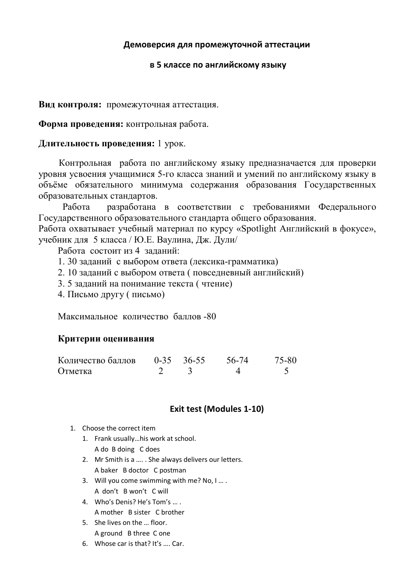## **Демоверсия для промежуточной аттестации**

### **в 5 классе по английскому языку**

**Вид контроля:** промежуточная аттестация.

**Форма проведения:** контрольная работа.

### **Длительность проведения:** 1 урок.

 Контрольная работа по английскому языку предназначается для проверки уровня усвоения учащимися 5-го класса знаний и умений по английскому языку в объёме обязательного минимума содержания образования Государственных образовательных стандартов.

 Работа разработана в соответствии с требованиями Федерального Государственного образовательного стандарта общего образования.

Работа охватывает учебный материал по курсу «Spotlight Английский в фокусе», учебник для 5 класса / Ю.Е. Ваулина, Дж. Дули/

Работа состоит из 4 заданий:

- 1. 30 заданий с выбором ответа (лексика-грамматика)
- 2. 10 заданий с выбором ответа ( повседневный английский)
- 3. 5 заданий на понимание текста ( чтение)
- 4. Письмо другу ( письмо)

Максимальное количество баллов -80

## **Критерии оценивания**

| Количество баллов | $0-35$ 36-55 | 56-74 | 75-80 |
|-------------------|--------------|-------|-------|
| Отметка           |              |       |       |

# **Exit test (Modules 1-10)**

- 1. Choose the correct item
	- 1. Frank usually…his work at school. A do B doing C does
	- 2. Mr Smith is a …. . She always delivers our letters. A baker B doctor C postman
	- 3. Will you come swimming with me? No, I … . A don't B won't C will
	- 4. Who's Denis? He's Tom's … . A mother B sister C brother
	- 5. She lives on the … floor. A ground B three C one
	- 6. Whose car is that? It's …. Car.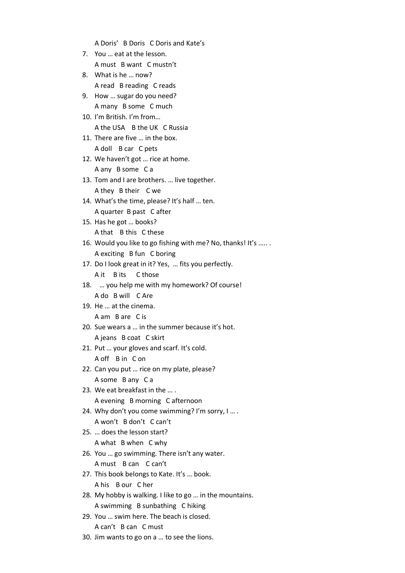A Doris' B Doris C Doris and Kate's 7. You … eat at the lesson. A must B want C mustn't 8. What is he … now? A read B reading C reads 9. How … sugar do you need? A many B some C much 10. I'm British. I'm from… A the USA B the UK C Russia 11. There are five … in the box. A doll B car C pets 12. We haven't got … rice at home. A any B some C a 13. Tom and I are brothers. … live together. A they B their C we 14. What's the time, please? It's half … ten. A quarter B past C after 15. Has he got … books? A that B this C these 16. Would you like to go fishing with me? No, thanks! It's ...... A exciting B fun C boring 17. Do I look great in it? Yes, … fits you perfectly. A it B its C those 18. … you help me with my homework? Of course! A do B will C Are 19. He … at the cinema. A am B are C is 20. Sue wears a … in the summer because it's hot. A jeans B coat C skirt 21. Put … your gloves and scarf. It's cold. A off B in C on 22. Can you put … rice on my plate, please? A some B any C a 23. We eat breakfast in the … . A evening B morning C afternoon 24. Why don't you come swimming? I'm sorry, I … . A won't B don't C can't 25. … does the lesson start? A what B when C why 26. You … go swimming. There isn't any water. A must B can C can't 27. This book belongs to Kate. It's … book. A his B our C her 28. My hobby is walking. I like to go … in the mountains. A swimming B sunbathing C hiking 29. You … swim here. The beach is closed. A can't B can C must

30. Jim wants to go on a … to see the lions.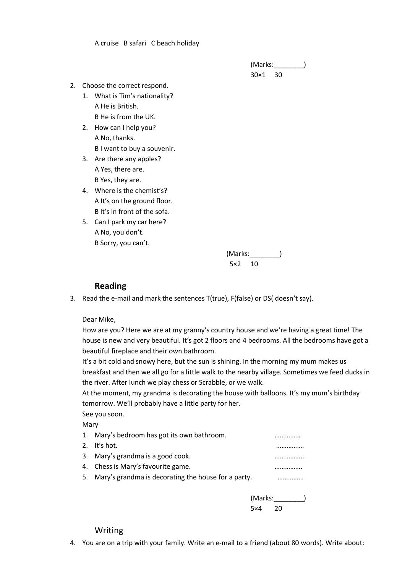|    |    | A cruise B safari C beach holiday |             |    |  |
|----|----|-----------------------------------|-------------|----|--|
|    |    |                                   | (Marks:     |    |  |
|    |    |                                   | $30\times1$ | 30 |  |
| 2. |    | Choose the correct respond.       |             |    |  |
|    | 1. | What is Tim's nationality?        |             |    |  |
|    |    | A He is British.                  |             |    |  |
|    |    | B He is from the UK.              |             |    |  |
|    | 2. | How can I help you?               |             |    |  |
|    |    | A No, thanks.                     |             |    |  |
|    |    | B I want to buy a souvenir.       |             |    |  |
|    | 3. | Are there any apples?             |             |    |  |
|    |    | A Yes, there are.                 |             |    |  |
|    |    | B Yes, they are.                  |             |    |  |
|    |    | 4. Where is the chemist's?        |             |    |  |
|    |    | A It's on the ground floor.       |             |    |  |
|    |    | B It's in front of the sofa.      |             |    |  |
|    |    | 5. Can I park my car here?        |             |    |  |
|    |    | A No, you don't.                  |             |    |  |
|    |    | B Sorry, you can't.               |             |    |  |

(Marks:\_\_\_\_\_\_\_\_) 5×2 10

### **Reading**

3. Read the e-mail and mark the sentences T(true), F(false) or DS( doesn't say).

Dear Mike,

How are you? Here we are at my granny's country house and we're having a great time! The house is new and very beautiful. It's got 2 floors and 4 bedrooms. All the bedrooms have got a beautiful fireplace and their own bathroom.

It's a bit cold and snowy here, but the sun is shining. In the morning my mum makes us breakfast and then we all go for a little walk to the nearby village. Sometimes we feed ducks in the river. After lunch we play chess or Scrabble, or we walk.

At the moment, my grandma is decorating the house with balloons. It's my mum's birthday tomorrow. We'll probably have a little party for her.

See you soon.

Mary

| 1. Mary's bedroom has got its own bathroom.            |                  |
|--------------------------------------------------------|------------------|
| 2. It's hot.                                           |                  |
| 3. Mary's grandma is a good cook.                      |                  |
| 4. Chess is Mary's favourite game.                     |                  |
| 5. Mary's grandma is decorating the house for a party. |                  |
|                                                        | $\Lambda$ Anrker |

(Marks:\_\_\_\_\_\_\_\_) 5×4 20

#### Writing

4. You are on a trip with your family. Write an e-mail to a friend (about 80 words). Write about: